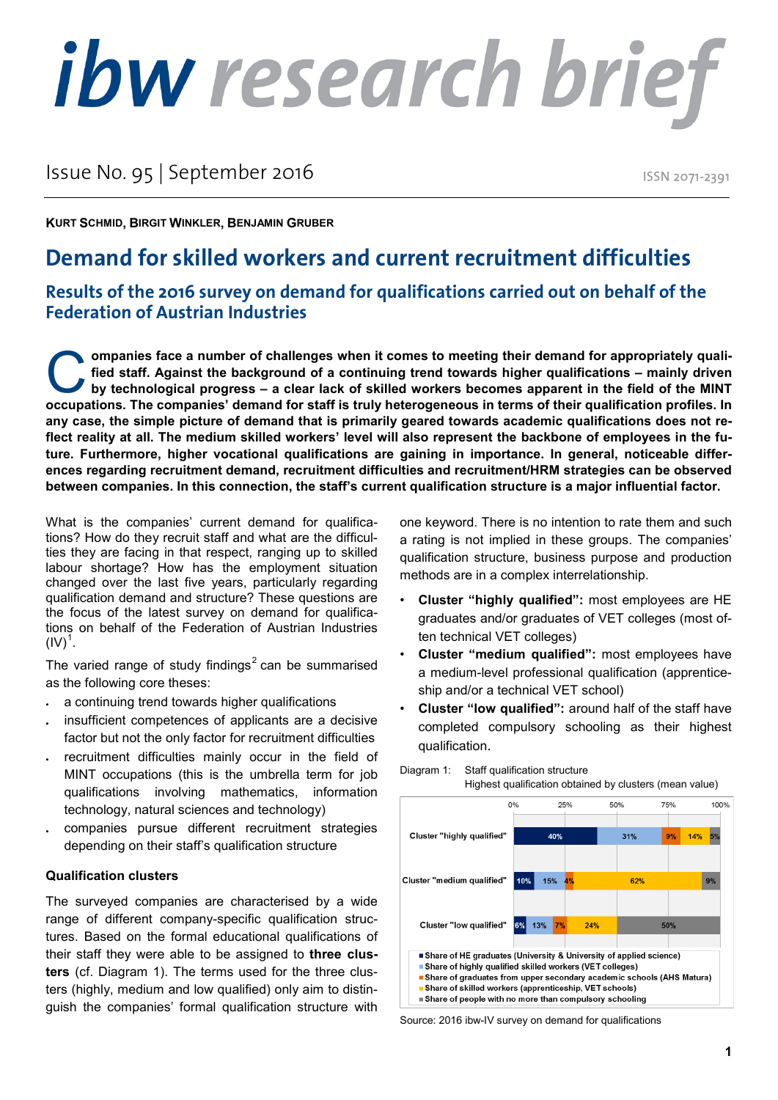# ibw research brief

# Issue No. 95 | September 2016

ISSN 2071-2391

**KURT SCHMID, BIRGIT WINKLER, BENJAMIN GRUBER**

# **Demand for skilled workers and current recruitment difficulties**

## **Results of the 2016 survey on demand for qualifications carried out on behalf of the Federation of Austrian Industries**

**ompanies face a number of challenges when it comes to meeting their demand for appropriately qualified staff. Against the background of a continuing trend towards higher qualifications – mainly driven by technological progress – a clear lack of skilled workers becomes apparent in the field of the MINT ompanies face a number of challenges when it comes to meeting their demand for appropriately qualified staff. Against the background of a continuing trend towards higher qualifications – mainly driven by technological pro any case, the simple picture of demand that is primarily geared towards academic qualifications does not reflect reality at all. The medium skilled workers' level will also represent the backbone of employees in the future. Furthermore, higher vocational qualifications are gaining in importance. In general, noticeable differences regarding recruitment demand, recruitment difficulties and recruitment/HRM strategies can be observed between companies. In this connection, the staff's current qualification structure is a major influential factor.** 

What is the companies' current demand for qualifications? How do they recruit staff and what are the difficulties they are facing in that respect, ranging up to skilled labour shortage? How has the employment situation changed over the last five years, particularly regarding qualification demand and structure? These questions are the focus of the latest survey on demand for qualifications on behalf of the Federation of Austrian Industries  ${\sf (IV)}^1.$  ${\sf (IV)}^1.$  ${\sf (IV)}^1.$ 

The varied range of study findings<sup>[2](#page-3-1)</sup> can be summarised as the following core theses:

- a continuing trend towards higher qualifications
- insufficient competences of applicants are a decisive factor but not the only factor for recruitment difficulties
- recruitment difficulties mainly occur in the field of MINT occupations (this is the umbrella term for job qualifications involving mathematics, information technology, natural sciences and technology)
- companies pursue different recruitment strategies depending on their staff's qualification structure

#### **Qualification clusters**

The surveyed companies are characterised by a wide range of different company-specific qualification structures. Based on the formal educational qualifications of their staff they were able to be assigned to **three clusters** (cf. Diagram 1). The terms used for the three clusters (highly, medium and low qualified) only aim to distinguish the companies' formal qualification structure with one keyword. There is no intention to rate them and such a rating is not implied in these groups. The companies' qualification structure, business purpose and production methods are in a complex interrelationship.

- **Cluster "highly qualified":** most employees are HE graduates and/or graduates of VET colleges (most often technical VET colleges)
- **Cluster "medium qualified":** most employees have a medium-level professional qualification (apprenticeship and/or a technical VET school)
- **Cluster "low qualified":** around half of the staff have completed compulsory schooling as their highest qualification.



Diagram 1: Staff qualification structure

Source: 2016 ibw-IV survey on demand for qualifications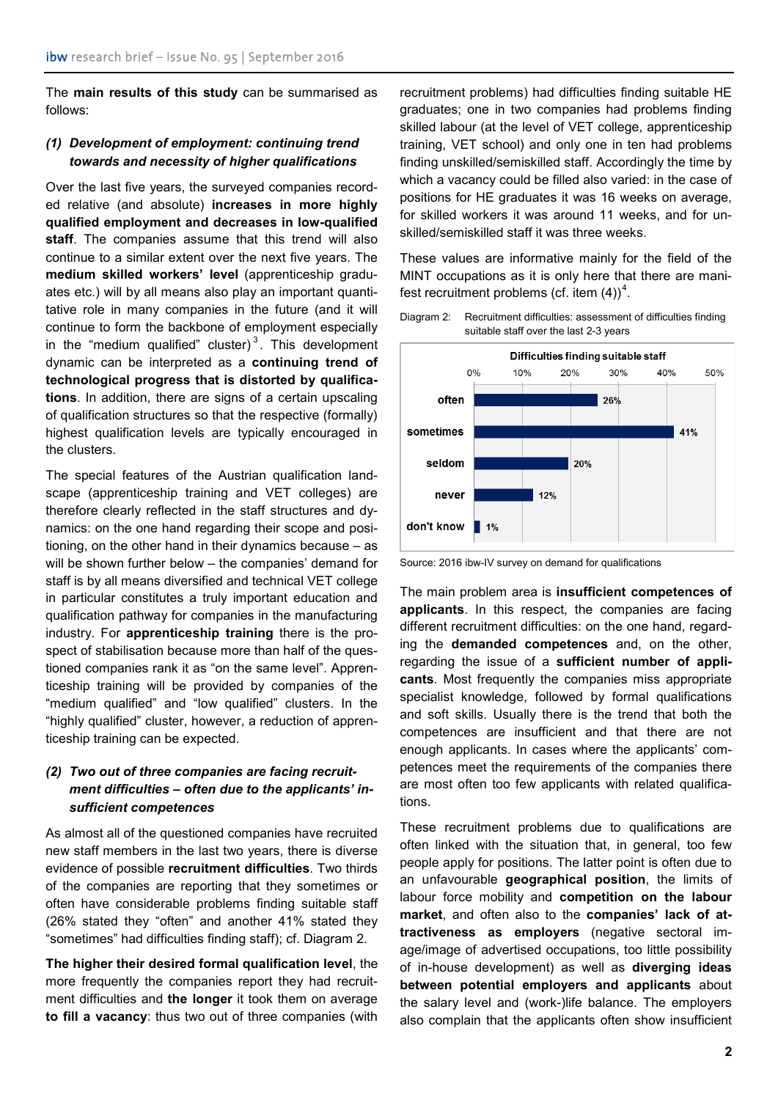The **main results of this study** can be summarised as follows:

#### *(1) Development of employment: continuing trend towards and necessity of higher qualifications*

Over the last five years, the surveyed companies recorded relative (and absolute) **increases in more highly qualified employment and decreases in low-qualified staff**. The companies assume that this trend will also continue to a similar extent over the next five years. The **medium skilled workers' level** (apprenticeship graduates etc.) will by all means also play an important quantitative role in many companies in the future (and it will continue to form the backbone of employment especially in the "medium qualified" cluster) $3$ . This development dynamic can be interpreted as a **continuing trend of technological progress that is distorted by qualifications**. In addition, there are signs of a certain upscaling of qualification structures so that the respective (formally) highest qualification levels are typically encouraged in the clusters.

The special features of the Austrian qualification landscape (apprenticeship training and VET colleges) are therefore clearly reflected in the staff structures and dynamics: on the one hand regarding their scope and positioning, on the other hand in their dynamics because – as will be shown further below – the companies' demand for staff is by all means diversified and technical VET college in particular constitutes a truly important education and qualification pathway for companies in the manufacturing industry. For **apprenticeship training** there is the prospect of stabilisation because more than half of the questioned companies rank it as "on the same level". Apprenticeship training will be provided by companies of the "medium qualified" and "low qualified" clusters. In the "highly qualified" cluster, however, a reduction of apprenticeship training can be expected.

### *(2) Two out of three companies are facing recruitment difficulties – often due to the applicants' insufficient competences*

As almost all of the questioned companies have recruited new staff members in the last two years, there is diverse evidence of possible **recruitment difficulties**. Two thirds of the companies are reporting that they sometimes or often have considerable problems finding suitable staff (26% stated they "often" and another 41% stated they "sometimes" had difficulties finding staff); cf. Diagram 2.

**The higher their desired formal qualification level**, the more frequently the companies report they had recruitment difficulties and **the longer** it took them on average **to fill a vacancy**: thus two out of three companies (with recruitment problems) had difficulties finding suitable HE graduates; one in two companies had problems finding skilled labour (at the level of VET college, apprenticeship training, VET school) and only one in ten had problems finding unskilled/semiskilled staff. Accordingly the time by which a vacancy could be filled also varied: in the case of positions for HE graduates it was 16 weeks on average, for skilled workers it was around 11 weeks, and for unskilled/semiskilled staff it was three weeks.

These values are informative mainly for the field of the MINT occupations as it is only here that there are manifest recruitment problems (cf. item  $(4)$  $(4)$  $(4)$ )<sup>4</sup>.





Source: 2016 ibw-IV survey on demand for qualifications

The main problem area is **insufficient competences of applicants**. In this respect, the companies are facing different recruitment difficulties: on the one hand, regarding the **demanded competences** and, on the other, regarding the issue of a **sufficient number of applicants**. Most frequently the companies miss appropriate specialist knowledge, followed by formal qualifications and soft skills. Usually there is the trend that both the competences are insufficient and that there are not enough applicants. In cases where the applicants' competences meet the requirements of the companies there are most often too few applicants with related qualifications.

These recruitment problems due to qualifications are often linked with the situation that, in general, too few people apply for positions. The latter point is often due to an unfavourable **geographical position**, the limits of labour force mobility and **competition on the labour market**, and often also to the **companies' lack of attractiveness as employers** (negative sectoral image/image of advertised occupations, too little possibility of in-house development) as well as **diverging ideas between potential employers and applicants** about the salary level and (work-)life balance. The employers also complain that the applicants often show insufficient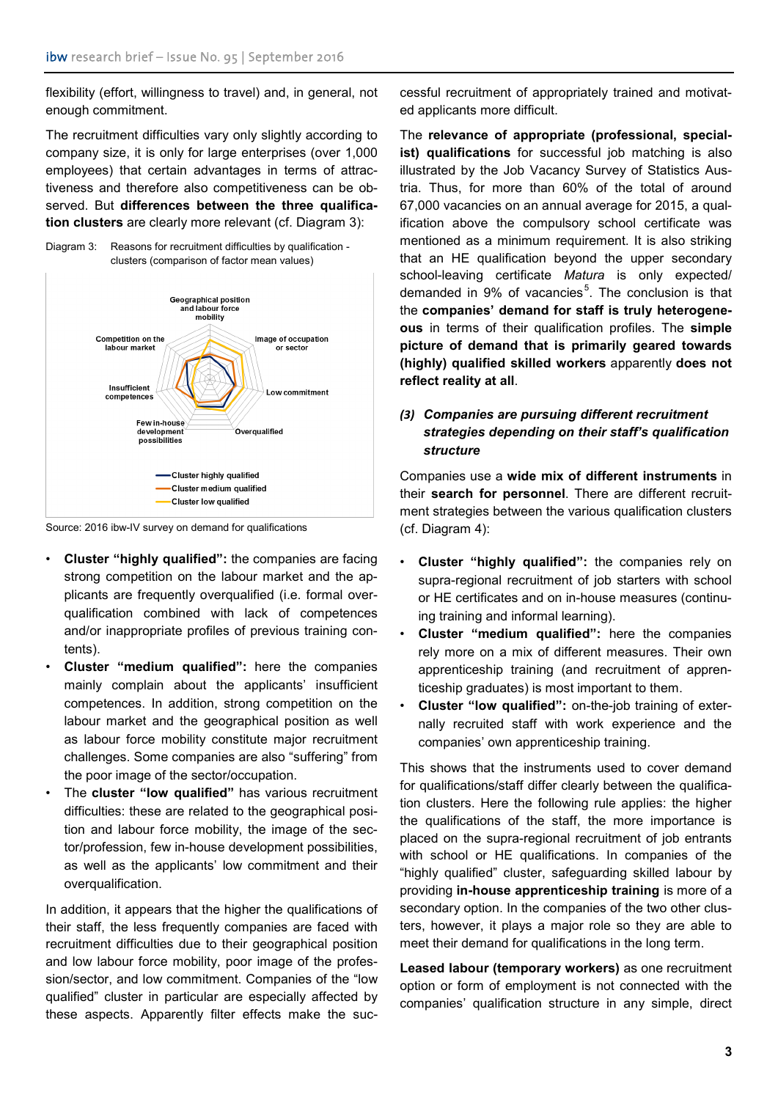flexibility (effort, willingness to travel) and, in general, not enough commitment.

The recruitment difficulties vary only slightly according to company size, it is only for large enterprises (over 1,000 employees) that certain advantages in terms of attractiveness and therefore also competitiveness can be observed. But **differences between the three qualification clusters** are clearly more relevant (cf. Diagram 3):





Source: 2016 ibw-IV survey on demand for qualifications

- **Cluster "highly qualified":** the companies are facing strong competition on the labour market and the applicants are frequently overqualified (i.e. formal overqualification combined with lack of competences and/or inappropriate profiles of previous training contents).
- **Cluster "medium qualified":** here the companies mainly complain about the applicants' insufficient competences. In addition, strong competition on the labour market and the geographical position as well as labour force mobility constitute major recruitment challenges. Some companies are also "suffering" from the poor image of the sector/occupation.
- The **cluster "low qualified"** has various recruitment difficulties: these are related to the geographical position and labour force mobility, the image of the sector/profession, few in-house development possibilities, as well as the applicants' low commitment and their overqualification.

In addition, it appears that the higher the qualifications of their staff, the less frequently companies are faced with recruitment difficulties due to their geographical position and low labour force mobility, poor image of the profession/sector, and low commitment. Companies of the "low qualified" cluster in particular are especially affected by these aspects. Apparently filter effects make the successful recruitment of appropriately trained and motivated applicants more difficult.

The **relevance of appropriate (professional, specialist) qualifications** for successful job matching is also illustrated by the Job Vacancy Survey of Statistics Austria. Thus, for more than 60% of the total of around 67,000 vacancies on an annual average for 2015, a qualification above the compulsory school certificate was mentioned as a minimum requirement. It is also striking that an HE qualification beyond the upper secondary school-leaving certificate *Matura* is only expected/ demanded in 9% of vacancies<sup>[5](#page-3-4)</sup>. The conclusion is that the **companies' demand for staff is truly heterogeneous** in terms of their qualification profiles. The **simple picture of demand that is primarily geared towards (highly) qualified skilled workers** apparently **does not reflect reality at all**.

#### *(3) Companies are pursuing different recruitment strategies depending on their staff's qualification structure*

Companies use a **wide mix of different instruments** in their **search for personnel**. There are different recruitment strategies between the various qualification clusters (cf. Diagram 4):

- **Cluster "highly qualified":** the companies rely on supra-regional recruitment of job starters with school or HE certificates and on in-house measures (continuing training and informal learning).
- **Cluster "medium qualified":** here the companies rely more on a mix of different measures. Their own apprenticeship training (and recruitment of apprenticeship graduates) is most important to them.
- **Cluster "low qualified":** on-the-job training of externally recruited staff with work experience and the companies' own apprenticeship training.

This shows that the instruments used to cover demand for qualifications/staff differ clearly between the qualification clusters. Here the following rule applies: the higher the qualifications of the staff, the more importance is placed on the supra-regional recruitment of job entrants with school or HE qualifications. In companies of the "highly qualified" cluster, safeguarding skilled labour by providing **in-house apprenticeship training** is more of a secondary option. In the companies of the two other clusters, however, it plays a major role so they are able to meet their demand for qualifications in the long term.

**Leased labour (temporary workers)** as one recruitment option or form of employment is not connected with the companies' qualification structure in any simple, direct